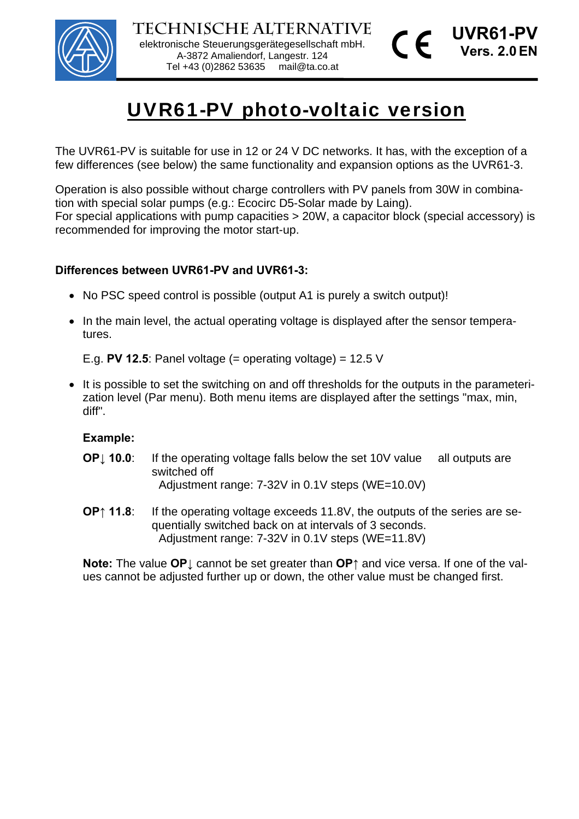

# UVR61-PV photo-voltaic version

The UVR61-PV is suitable for use in 12 or 24 V DC networks. It has, with the exception of a few differences (see below) the same functionality and expansion options as the UVR61-3.

Operation is also possible without charge controllers with PV panels from 30W in combination with special solar pumps (e.g.: Ecocirc D5-Solar made by Laing). For special applications with pump capacities > 20W, a capacitor block (special accessory) is recommended for improving the motor start-up.

#### **Differences between UVR61-PV and UVR61-3:**

- No PSC speed control is possible (output A1 is purely a switch output)!
- In the main level, the actual operating voltage is displayed after the sensor temperatures.

E.g. **PV 12.5**: Panel voltage (= operating voltage) =  $12.5$  V

It is possible to set the switching on and off thresholds for the outputs in the parameterization level (Par menu). Both menu items are displayed after the settings "max, min, diff".

#### **Example:**

- **OP**<sup> $\parallel$ </sup> **10.0**: If the operating voltage falls below the set 10V value all outputs are switched off Adjustment range: 7-32V in 0.1V steps (WE=10.0V)
- **OP↑ 11.8**: If the operating voltage exceeds 11.8V, the outputs of the series are sequentially switched back on at intervals of 3 seconds. Adjustment range: 7-32V in 0.1V steps (WE=11.8V)

**Note:** The value **OP↓** cannot be set greater than **OP↑** and vice versa. If one of the values cannot be adjusted further up or down, the other value must be changed first.